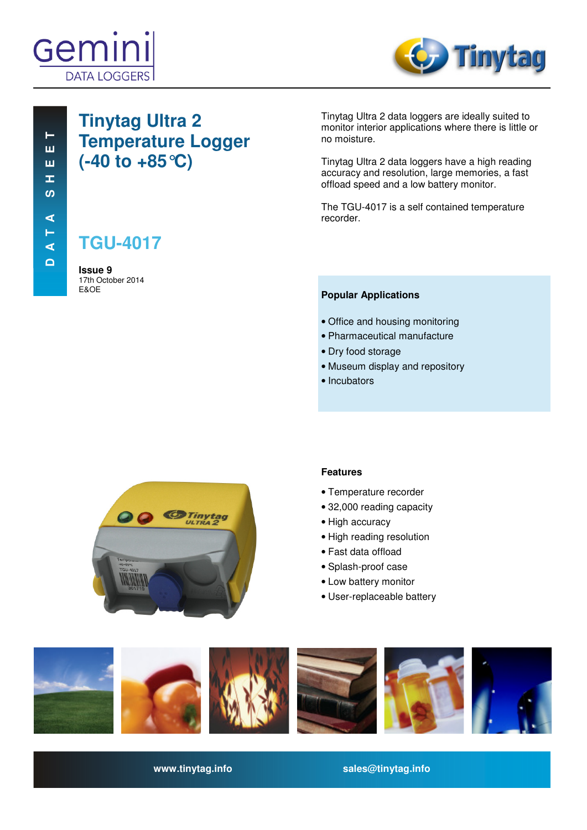



# **Tinytag Ultra 2 Temperature Logger (-40 to +85°C)**

**TGU-4017**

**Issue 9**  17th October 2014 E&OE

Tinytag Ultra 2 data loggers are ideally suited to monitor interior applications where there is little or no moisture.

Tinytag Ultra 2 data loggers have a high reading accuracy and resolution, large memories, a fast offload speed and a low battery monitor.

The TGU-4017 is a self contained temperature recorder.

#### **Popular Applications**

- Office and housing monitoring
- Pharmaceutical manufacture
- Dry food storage
- Museum display and repository
- Incubators



#### **Features**

- Temperature recorder
- 32,000 reading capacity
- High accuracy
- High reading resolution
- Fast data offload
- Splash-proof case
- Low battery monitor
- User-replaceable battery



**www.tinytag.info sales@tinytag.info**